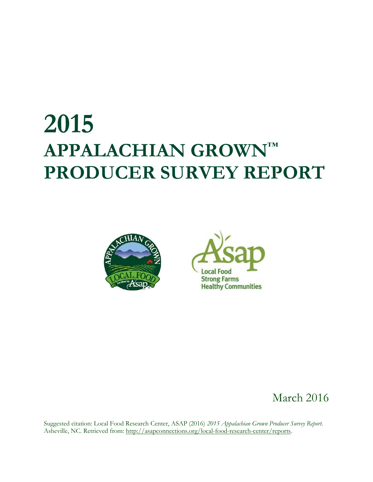# **2015 APPALACHIAN GROWN™ PRODUCER SURVEY REPORT**





## March 2016

Suggested citation: Local Food Research Center, ASAP (2016) *2015 Appalachian Grown Producer Survey Report*. Asheville, NC. Retrieved from: [http://asapconnections.org/local-food-research-center/reports.](http://asapconnections.org/local-food-research-center/reports)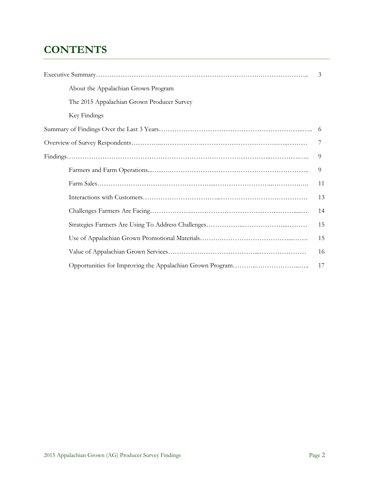## **CONTENTS**

|                                            | 3  |
|--------------------------------------------|----|
| About the Appalachian Grown Program        |    |
| The 2015 Appalachian Grown Producer Survey |    |
| Key Findings                               |    |
|                                            | 6  |
|                                            | 7  |
|                                            | 9  |
|                                            | 9  |
|                                            | 11 |
|                                            | 13 |
|                                            | 14 |
|                                            | 15 |
|                                            | 15 |
|                                            | 16 |
|                                            | 17 |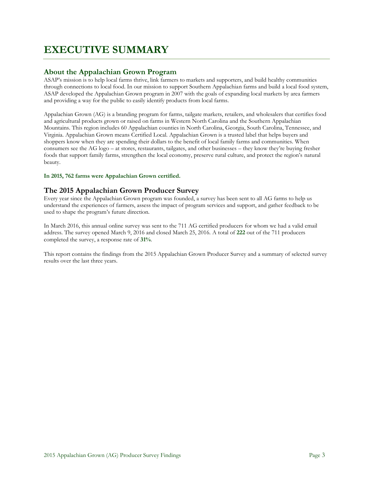## **EXECUTIVE SUMMARY**

#### **About the Appalachian Grown Program**

ASAP's mission is to help local farms thrive, link farmers to markets and supporters, and build healthy communities through connections to local food. In our mission to support Southern Appalachian farms and build a local food system, ASAP developed the Appalachian Grown program in 2007 with the goals of expanding local markets by area farmers and providing a way for the public to easily identify products from local farms.

Appalachian Grown (AG) is a branding program for farms, tailgate markets, retailers, and wholesalers that certifies food and agricultural products grown or raised on farms in Western North Carolina and the Southern Appalachian Mountains. This region includes 60 Appalachian counties in North Carolina, Georgia, South Carolina, Tennessee, and Virginia. Appalachian Grown means Certified Local. Appalachian Grown is a trusted label that helps buyers and shoppers know when they are spending their dollars to the benefit of local family farms and communities. When consumers see the AG logo – at stores, restaurants, tailgates, and other businesses – they know they're buying fresher foods that support family farms, strengthen the local economy, preserve rural culture, and protect the region's natural beauty.

#### **In 2015, 762 farms were Appalachian Grown certified.**

#### **The 2015 Appalachian Grown Producer Survey**

Every year since the Appalachian Grown program was founded, a survey has been sent to all AG farms to help us understand the experiences of farmers, assess the impact of program services and support, and gather feedback to be used to shape the program's future direction.

In March 2016, this annual online survey was sent to the 711 AG certified producers for whom we had a valid email address. The survey opened March 9, 2016 and closed March 25, 2016. A total of **222** out of the 711 producers completed the survey, a response rate of **31%**.

This report contains the findings from the 2015 Appalachian Grown Producer Survey and a summary of selected survey results over the last three years.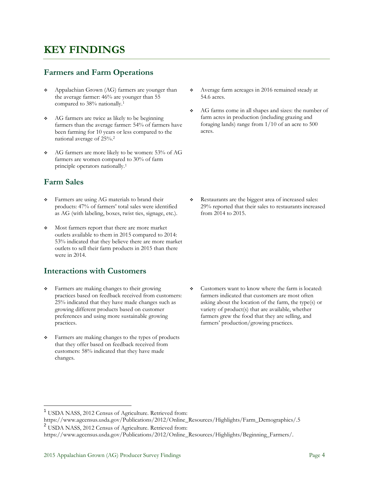## **KEY FINDINGS**

#### **Farmers and Farm Operations**

- Appalachian Grown (AG) farmers are younger than the average farmer: 46% are younger than 55 compared to 38% nationally.<sup>1</sup>
- AG farmers are twice as likely to be beginning farmers than the average farmer: 54% of farmers have been farming for 10 years or less compared to the national average of 25%.<sup>2</sup>
- AG farmers are more likely to be women: 53% of AG farmers are women compared to 30% of farm principle operators nationally.<sup>1</sup>

#### **Farm Sales**

 $\overline{a}$ 

- **\*** Farmers are using AG materials to brand their products: 47% of farmers' total sales were identified as AG (with labeling, boxes, twist ties, signage, etc.).
- Most farmers report that there are more market outlets available to them in 2015 compared to 2014: 53% indicated that they believe there are more market outlets to sell their farm products in 2015 than there were in 2014.

#### **Interactions with Customers**

- **\*** Farmers are making changes to their growing practices based on feedback received from customers: 25% indicated that they have made changes such as growing different products based on customer preferences and using more sustainable growing practices.
- Farmers are making changes to the types of products that they offer based on feedback received from customers: 58% indicated that they have made changes.
- Average farm acreages in 2016 remained steady at 54.6 acres.
- AG farms come in all shapes and sizes: the number of farm acres in production (including grazing and foraging lands) range from 1/10 of an acre to 500 acres.

 Restaurants are the biggest area of increased sales: 29% reported that their sales to restaurants increased from 2014 to 2015.

• Customers want to know where the farm is located: farmers indicated that customers are most often asking about the location of the farm, the type(s) or variety of product(s) that are available, whether farmers grew the food that they are selling, and farmers' production/growing practices.

<sup>1</sup> USDA NASS, 2012 Census of Agriculture. Retrieved from:

https://www.agcensus.usda.gov/Publications/2012/Online\_Resources/Highlights/Farm\_Demographics/.5 <sup>2</sup> USDA NASS, 2012 Census of Agriculture. Retrieved from:

https://www.agcensus.usda.gov/Publications/2012/Online\_Resources/Highlights/Beginning\_Farmers/.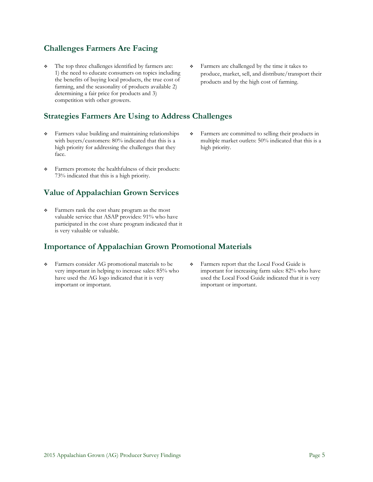#### **Challenges Farmers Are Facing**

 The top three challenges identified by farmers are: 1) the need to educate consumers on topics including the benefits of buying local products, the true cost of farming, and the seasonality of products available 2) determining a fair price for products and 3) competition with other growers.

#### **Strategies Farmers Are Using to Address Challenges**

- Farmers value building and maintaining relationships with buyers/customers: 80% indicated that this is a high priority for addressing the challenges that they face.
- Farmers promote the healthfulness of their products: 73% indicated that this is a high priority.

#### **Value of Appalachian Grown Services**

 Farmers rank the cost share program as the most valuable service that ASAP provides: 91% who have participated in the cost share program indicated that it is very valuable or valuable.

#### **Importance of Appalachian Grown Promotional Materials**

 Farmers consider AG promotional materials to be very important in helping to increase sales: 85% who have used the AG logo indicated that it is very important or important.

- Farmers are challenged by the time it takes to produce, market, sell, and distribute/transport their products and by the high cost of farming.
- Farmers are committed to selling their products in multiple market outlets: 50% indicated that this is a high priority.

 Farmers report that the Local Food Guide is important for increasing farm sales: 82% who have used the Local Food Guide indicated that it is very important or important.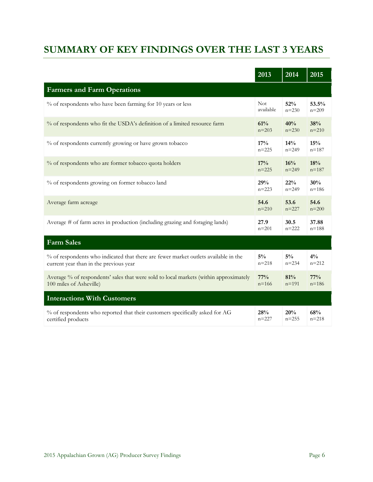## **SUMMARY OF KEY FINDINGS OVER THE LAST 3 YEARS**

|                                                                                       | 2013      | $20\overline{14}$ | 2015      |
|---------------------------------------------------------------------------------------|-----------|-------------------|-----------|
| <b>Farmers and Farm Operations</b>                                                    |           |                   |           |
| % of respondents who have been farming for 10 years or less                           | Not.      | 52%               | 53.5%     |
|                                                                                       | available | $n = 230$         | $n = 209$ |
| % of respondents who fit the USDA's definition of a limited resource farm             | 61%       | 40%               | 38%       |
|                                                                                       | $n = 203$ | $n = 230$         | $n = 210$ |
| % of respondents currently growing or have grown tobacco                              | 17%       | 14%               | 15%       |
|                                                                                       | $n = 225$ | $n = 249$         | $n = 187$ |
| % of respondents who are former tobacco quota holders                                 | 17%       | 16%               | 18%       |
|                                                                                       | $n = 225$ | $n = 249$         | $n = 187$ |
| % of respondents growing on former tobacco land                                       | 29%       | 22%               | 30%       |
|                                                                                       | $n = 223$ | $n = 249$         | $n = 186$ |
| Average farm acreage                                                                  | 54.6      | 53.6              | 54.6      |
|                                                                                       | $n = 210$ | $n = 227$         | $n = 200$ |
| Average # of farm acres in production (including grazing and foraging lands)          | 27.9      | 30.5              | 37.88     |
|                                                                                       | $n = 201$ | $n = 222$         | $n = 188$ |
| <b>Farm Sales</b>                                                                     |           |                   |           |
| % of respondents who indicated that there are fewer market outlets available in the   | $5\%$     | $5\%$             | $4\%$     |
| current year than in the previous year                                                | $n = 218$ | $n = 234$         | $n = 212$ |
| Average % of respondents' sales that were sold to local markets (within approximately | 77%       | 81%               | 77%       |
| 100 miles of Asheville)                                                               | $n = 166$ | $n = 191$         | $n = 186$ |
| <b>Interactions With Customers</b>                                                    |           |                   |           |
| % of respondents who reported that their customers specifically asked for AG          | 28%       | 20%               | 68%       |
| certified products                                                                    | $n = 227$ | $n = 255$         | $n = 218$ |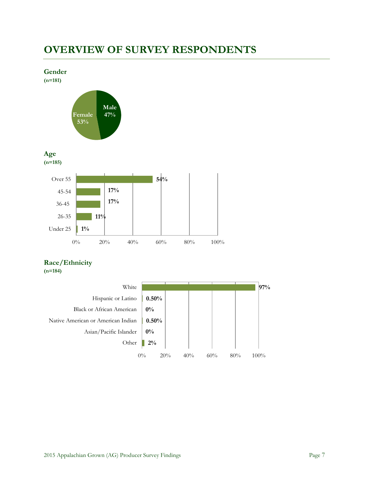## **OVERVIEW OF SURVEY RESPONDENTS**



#### **Race/Ethnicity**

**(n=184)**

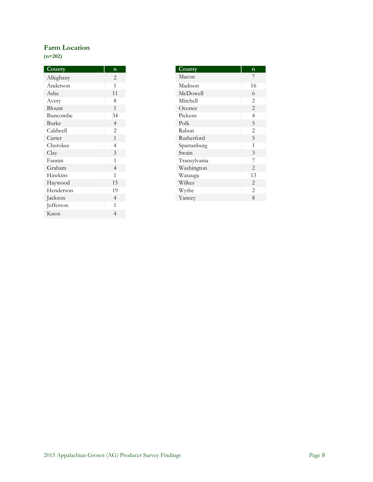#### **Farm Location**

**(n=202)**

| County    | $\mathbf n$    |
|-----------|----------------|
| Alleghany | 2              |
| Anderson  | 1              |
| Ashe      | 11             |
| Avery     | 8              |
| Blount    | $\mathbf{1}$   |
| Buncombe  | 34             |
| Burke     | $\overline{4}$ |
| Caldwell  | $\overline{2}$ |
| Carter    | $\mathbf{1}$   |
| Cherokee  | 4              |
| Clay      | 3              |
| Fannin    | 1              |
| Graham    | $\overline{4}$ |
| Hawkins   | 1              |
| Haywood   | 15             |
| Henderson | 19             |
| Jackson   | $\overline{4}$ |
| Jefferson | 1              |
| Knox      | 4              |

| County       | n              |
|--------------|----------------|
| Macon        | 7              |
| Madison      | 16             |
| McDowell     | 6              |
| Mitchell     | 2              |
| Oconee       | $\overline{2}$ |
| Pickens      | $\overline{4}$ |
| Polk         | 5              |
| Rabun        | $\overline{2}$ |
| Rutherford   | 5              |
| Spartanburg  | 1              |
| Swain        | 3              |
| Transylvania | 7              |
| Washington   | $\overline{2}$ |
| Watauga      | 13             |
| Wilkes       | 2              |
| Wythe        | $\overline{2}$ |
| Yancey       | 8              |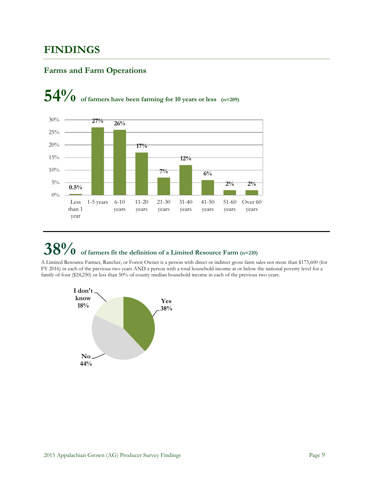## **FINDINGS**

#### **Farms and Farm Operations**





## **38% of farmers fit the definition of a Limited Resource Farm (n=210)**

A Limited Resource Farmer, Rancher, or Forest Owner is a person with direct or indirect gross farm sales not more than \$173,600 (for FY 2016) in each of the previous two years AND a person with a total household income at or below the national poverty level for a family of four (\$24,250) or less than 50% of county median household income in each of the previous two years.

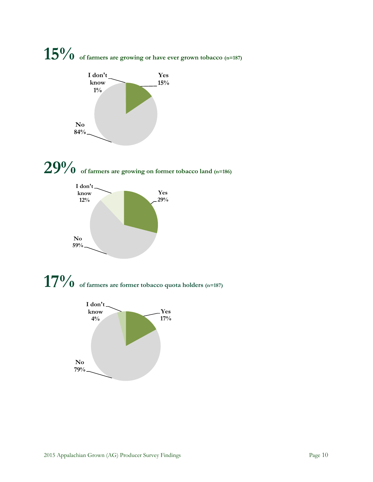## **15% of farmers are growing or have ever grown tobacco (n=187)**









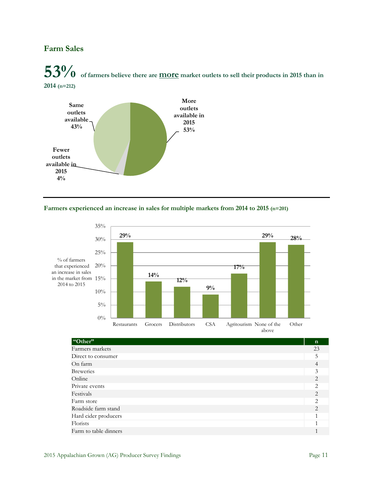#### **Farm Sales**

## **53% of farmers believe there are more market outlets to sell their products in 2015 than in 2014 (n=212)**



#### **Farmers experienced an increase in sales for multiple markets from 2014 to 2015 (n=201)**





| "Other"               | $\mathbf n$    |
|-----------------------|----------------|
| Farmers markets       | 23             |
| Direct to consumer    | 5              |
| On farm               | 4              |
| <b>Breweries</b>      | 3              |
| Online                | $\mathfrak{D}$ |
| Private events        | $\mathfrak{D}$ |
| Festivals             | $\mathfrak{D}$ |
| Farm store            | $\mathcal{L}$  |
| Roadside farm stand   | 2              |
| Hard cider producers  |                |
| Florists              | 1              |
| Farm to table dinners |                |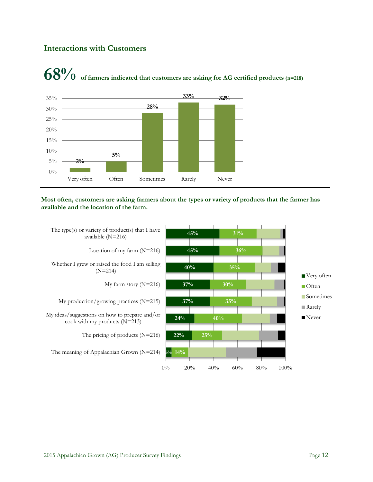#### **Interactions with Customers**





**Most often, customers are asking farmers about the types or variety of products that the farmer has available and the location of the farm.**

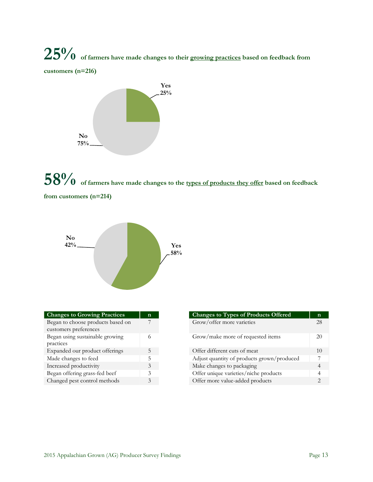**25% of farmers have made changes to their growing practices based on feedback from customers (n=216)**



## **58% of farmers have made changes to the types of products they offer based on feedback from customers (n=214)**



| <b>Changes to Growing Practices</b> | n |
|-------------------------------------|---|
| Began to choose products based on   |   |
| customers preferences               |   |
| Began using sustainable growing     |   |
| practices                           |   |
| Expanded our product offerings      | 5 |
| Made changes to feed                | 5 |
| Increased productivity              | 3 |
| Began offering grass-fed beef       | 3 |
| Changed pest control methods        | 3 |

| <b>Changes to Growing Practices</b>                        | n        | <b>Changes to Types of Products Offered</b> |
|------------------------------------------------------------|----------|---------------------------------------------|
| Began to choose products based on<br>customers preferences |          | Grow/offer more varieties                   |
| Began using sustainable growing<br>practices               | $^{(1)}$ | Grow/make more of requested items           |
| Expanded our product offerings                             |          | Offer different cuts of meat                |
| Made changes to feed                                       |          | Adjust quantity of products grown/produced  |
| Increased productivity                                     |          | Make changes to packaging                   |
| Began offering grass-fed beef                              |          | Offer unique varieties/niche products       |
| Changed pest control methods                               |          | Offer more value-added products             |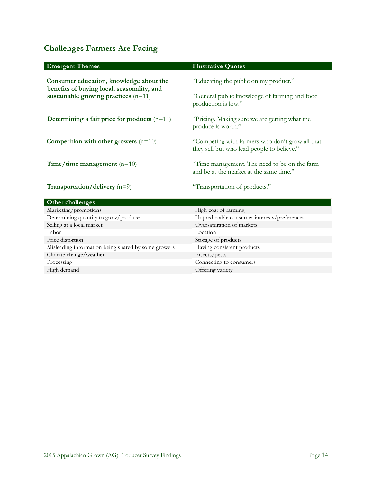### **Challenges Farmers Are Facing**

| <b>Emergent Themes</b>                                                                | <b>Illustrative Quotes</b>                                                                    |
|---------------------------------------------------------------------------------------|-----------------------------------------------------------------------------------------------|
| Consumer education, knowledge about the<br>benefits of buying local, seasonality, and | "Educating the public on my product."                                                         |
| sustainable growing practices $(n=11)$                                                | "General public knowledge of farming and food<br>production is low."                          |
| Determining a fair price for products $(n=11)$                                        | "Pricing. Making sure we are getting what the<br>produce is worth."                           |
| Competition with other growers $(n=10)$                                               | "Competing with farmers who don't grow all that<br>they sell but who lead people to believe." |
| Time/time management $(n=10)$                                                         | "Time management. The need to be on the farm<br>and be at the market at the same time."       |
| <b>Transportation/delivery</b> $(n=9)$                                                | "Transportation of products."                                                                 |
| Other challenges                                                                      |                                                                                               |
| Marketing/promotions                                                                  | High cost of farming                                                                          |
| Determining quantity to grow/produce                                                  | Unpredictable consumer interests/preferences                                                  |
| Selling at a local market                                                             | Oversaturation of markets                                                                     |
| Labor                                                                                 | Location                                                                                      |
| Price distortion                                                                      | Storage of products                                                                           |
| Misleading information being shared by some growers                                   | Having consistent products                                                                    |
| Climate change/weather                                                                | Insects/pests                                                                                 |
| Processing                                                                            | Connecting to consumers                                                                       |
| High demand                                                                           | Offering variety                                                                              |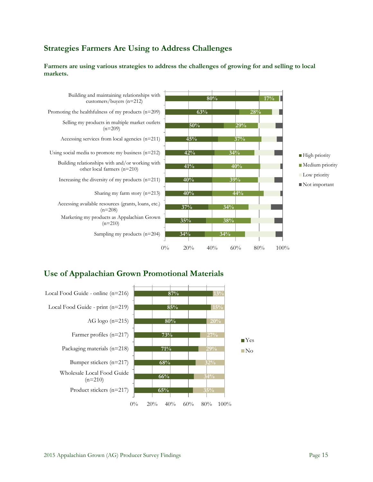#### **Strategies Farmers Are Using to Address Challenges**

**Farmers are using various strategies to address the challenges of growing for and selling to local markets.**



#### **Use of Appalachian Grown Promotional Materials**

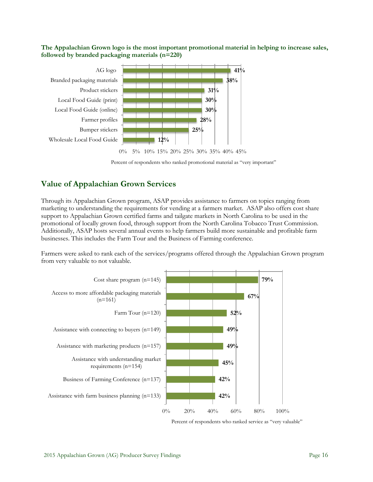**The Appalachian Grown logo is the most important promotional material in helping to increase sales, followed by branded packaging materials (n=220)**



Percent of respondents who ranked promotional material as "very important"

#### **Value of Appalachian Grown Services**

Through its Appalachian Grown program, ASAP provides assistance to farmers on topics ranging from marketing to understanding the requirements for vending at a farmers market. ASAP also offers cost share support to Appalachian Grown certified farms and tailgate markets in North Carolina to be used in the promotional of locally grown food, through support from the North Carolina Tobacco Trust Commission. Additionally, ASAP hosts several annual events to help farmers build more sustainable and profitable farm businesses. This includes the Farm Tour and the Business of Farming conference.

Farmers were asked to rank each of the services/programs offered through the Appalachian Grown program from very valuable to not valuable.



Percent of respondents who ranked service as "very valuable"